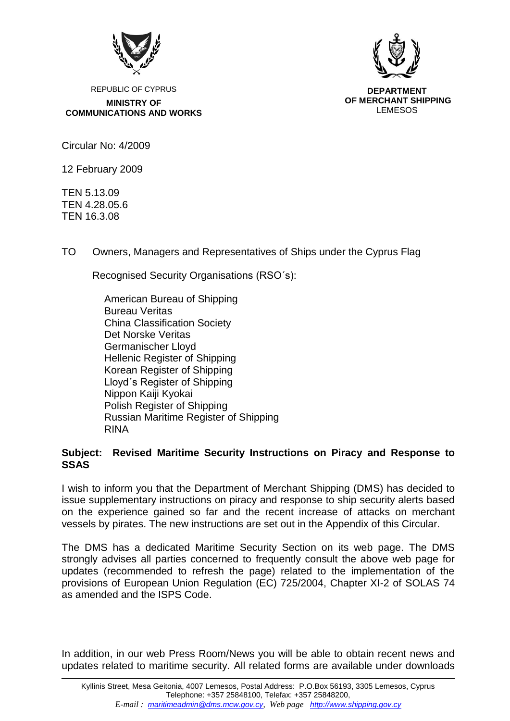

**DEPARTMENT OF MERCHANT SHIPPING** LEMESOS

REPUBLIC OF CYPRUS **MINISTRY OF COMMUNICATIONS AND WORKS**

Circular No: 4/2009

12 February 2009

TEN 5.13.09 TEN 4.28.05.6 ΤΕΝ 16.3.08

TO Owners, Managers and Representatives of Ships under the Cyprus Flag

Recognised Security Organisations (RSO´s):

American Bureau of Shipping Bureau Veritas China Classification Society Det Norske Veritas [Germanischer Lloyd](http://www.gl-group.com/) Hellenic Register of Shipping Korean Register of Shipping Lloyd´s Register of Shipping Nippon Kaiji Kyokai Polish Register of Shipping Russian Maritime Register of Shipping RINA

### **Subject: Revised Maritime Security Instructions on Piracy and Response to SSAS**

I wish to inform you that the Department of Merchant Shipping (DMS) has decided to issue supplementary instructions on piracy and response to ship security alerts based on the experience gained so far and the recent increase of attacks on merchant vessels by pirates. The new instructions are set out in the Appendix of this Circular.

The DMS has a dedicated Maritime Security Section on its web page. The DMS strongly advises all parties concerned to frequently consult the above web page for updates (recommended to refresh the page) related to the implementation of the provisions of European Union Regulation (EC) 725/2004, Chapter XI-2 of SOLAS 74 as amended and the ISPS Code.

In addition, in our web Press Room/News you will be able to obtain recent news and updates related to maritime security. All related forms are available under downloads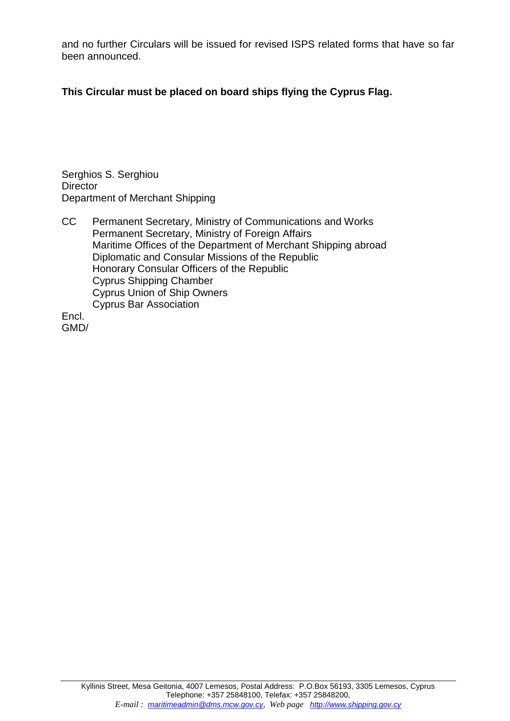and no further Circulars will be issued for revised ISPS related forms that have so far been announced.

### **This Circular must be placed on board ships flying the Cyprus Flag.**

Serghios S. Serghiou **Director** Department of Merchant Shipping

CC Permanent Secretary, Ministry of Communications and Works Permanent Secretary, Ministry of Foreign Affairs Maritime Offices of the Department of Merchant Shipping abroad Diplomatic and Consular Missions of the Republic Honorary Consular Officers of the Republic Cyprus Shipping Chamber Cyprus Union of Ship Owners Cyprus Bar Association Encl.

GMD/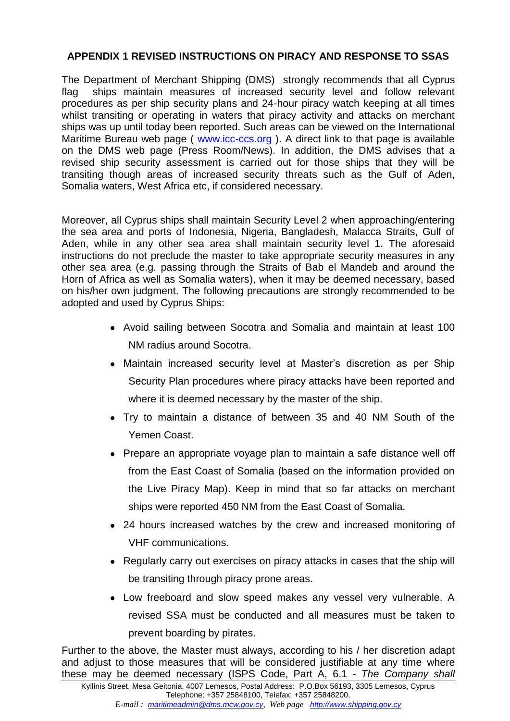# **APPENDIX 1 REVISED INSTRUCTIONS ON PIRACY AND RESPONSE TO SSAS**

The Department of Merchant Shipping (DMS) strongly recommends that all Cyprus flag ships maintain measures of increased security level and follow relevant procedures as per ship security plans and 24-hour piracy watch keeping at all times whilst transiting or operating in waters that piracy activity and attacks on merchant ships was up until today been reported. Such areas can be viewed on the International Maritime Bureau web page ( [www.icc-ccs.org](http://www.icc-ccs.org/) ). A direct link to that page is available on the DMS web page (Press Room/News). In addition, the DMS advises that a revised ship security assessment is carried out for those ships that they will be transiting though areas of increased security threats such as the Gulf of Aden, Somalia waters, West Africa etc, if considered necessary.

Moreover, all Cyprus ships shall maintain Security Level 2 when approaching/entering the sea area and ports of Indonesia, Nigeria, Bangladesh, Malacca Straits, Gulf of Aden, while in any other sea area shall maintain security level 1. The aforesaid instructions do not preclude the master to take appropriate security measures in any other sea area (e.g. passing through the Straits of Bab el Mandeb and around the Horn of Africa as well as Somalia waters), when it may be deemed necessary, based on his/her own judgment. The following precautions are strongly recommended to be adopted and used by Cyprus Ships:

- Avoid sailing between Socotra and Somalia and maintain at least 100 NM radius around Socotra.
- Maintain increased security level at Master's discretion as per Ship Security Plan procedures where piracy attacks have been reported and where it is deemed necessary by the master of the ship.
- Try to maintain a distance of between 35 and 40 NM South of the Yemen Coast.
- Prepare an appropriate voyage plan to maintain a safe distance well off from the East Coast of Somalia (based on the information provided on the Live Piracy Map). Keep in mind that so far attacks on merchant ships were reported 450 NM from the East Coast of Somalia.
- 24 hours increased watches by the crew and increased monitoring of VHF communications.
- Regularly carry out exercises on piracy attacks in cases that the ship will be transiting through piracy prone areas.
- Low freeboard and slow speed makes any vessel very vulnerable. A revised SSA must be conducted and all measures must be taken to prevent boarding by pirates.

Further to the above, the Master must always, according to his / her discretion adapt and adjust to those measures that will be considered justifiable at any time where these may be deemed necessary (ISPS Code, Part A, 6.1 - *The Company shall*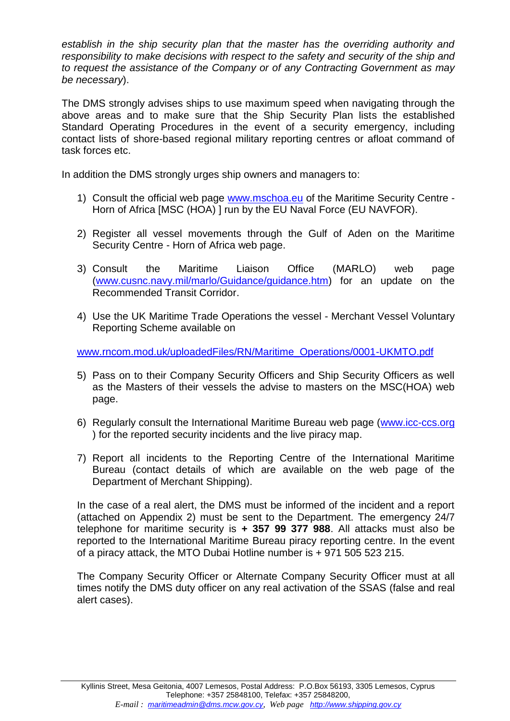*establish in the ship security plan that the master has the overriding authority and responsibility to make decisions with respect to the safety and security of the ship and to request the assistance of the Company or of any Contracting Government as may be necessary*).

The DMS strongly advises ships to use maximum speed when navigating through the above areas and to make sure that the Ship Security Plan lists the established Standard Operating Procedures in the event of a security emergency, including contact lists of shore-based regional military reporting centres or afloat command of task forces etc.

In addition the DMS strongly urges ship owners and managers to:

- 1) Consult the official web page [www.mschoa.eu](http://www.mschoa.eu/) of the Maritime Security Centre Horn of Africa [MSC (HOA) ] run by the EU Naval Force (EU NAVFOR).
- 2) Register all vessel movements through the Gulf of Aden on the Maritime Security Centre - Horn of Africa web page.
- 3) Consult the Maritime Liaison Office (MARLO) web page [\(www.cusnc.navy.mil/marlo/Guidance/guidance.htm\)](http://www.cusnc.navy.mil/marlo/Guidance/guidance.htm) for an update on the Recommended Transit Corridor.
- 4) Use the UK Maritime Trade Operations the vessel Merchant Vessel Voluntary Reporting Scheme available on

[www.rncom.mod.uk/uploadedFiles/RN/Maritime\\_Operations/0001-UKMTO.pdf](http://www.rncom.mod.uk/uploadedFiles/RN/Maritime_Operations/0001-UKMTO.pdf)

- 5) Pass on to their Company Security Officers and Ship Security Officers as well as the Masters of their vessels the advise to masters on the MSC(HOA) web page.
- 6) Regularly consult the International Maritime Bureau web page [\(www.icc-ccs.org](http://www.icc-ccs.org/) ) for the reported security incidents and the live piracy map.
- 7) Report all incidents to the Reporting Centre of the International Maritime Bureau (contact details of which are available on the web page of the Department of Merchant Shipping).

In the case of a real alert, the DMS must be informed of the incident and a report (attached on Appendix 2) must be sent to the Department. The emergency 24/7 telephone for maritime security is **+ 357 99 377 988**. All attacks must also be reported to the International Maritime Bureau piracy reporting centre. In the event of a piracy attack, the MTO Dubai Hotline number is + 971 505 523 215.

The Company Security Officer or Alternate Company Security Officer must at all times notify the DMS duty officer on any real activation of the SSAS (false and real alert cases).

Kyllinis Street, Mesa Geitonia, 4007 Lemesos, Postal Address: P.O.Box 56193, 3305 Lemesos, Cyprus Telephone: +357 25848100, Telefax: +357 25848200, *E-mail : maritimeadmin@dms.mcw.gov.cy, Web page http://www.shipping.gov.cy*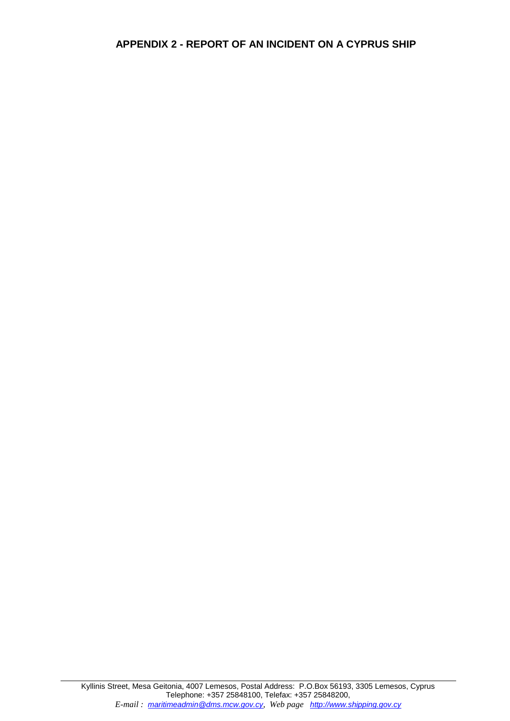### **APPENDIX 2 - REPORT OF AN INCIDENT ON A CYPRUS SHIP**

Kyllinis Street, Mesa Geitonia, 4007 Lemesos, Postal Address: P.O.Box 56193, 3305 Lemesos, Cyprus Telephone: +357 25848100, Telefax: +357 25848200, *E-mail : maritimeadmin@dms.mcw.gov.cy, Web page http://www.shipping.gov.cy*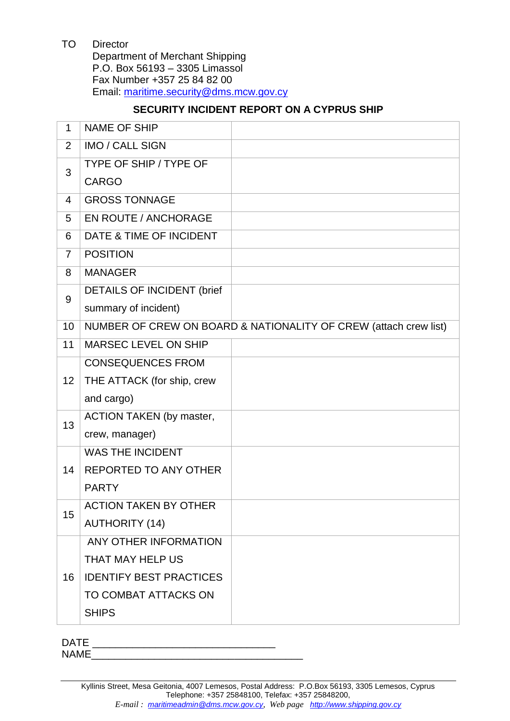TO Director Department of Merchant Shipping P.O. Box 56193 – 3305 Limassol Fax Number +357 25 84 82 00 Email: [maritime.security@dms.mcw.gov.cy](mailto:maritime.security@dms.mcw.gov.cy)

## **SECURITY INCIDENT REPORT ON A CYPRUS SHIP**

| $\mathbf{1}$   | <b>NAME OF SHIP</b>               |                                                                  |
|----------------|-----------------------------------|------------------------------------------------------------------|
| $\overline{2}$ | <b>IMO / CALL SIGN</b>            |                                                                  |
| 3              | TYPE OF SHIP / TYPE OF            |                                                                  |
|                | <b>CARGO</b>                      |                                                                  |
| 4              | <b>GROSS TONNAGE</b>              |                                                                  |
| 5              | <b>EN ROUTE / ANCHORAGE</b>       |                                                                  |
| 6              | DATE & TIME OF INCIDENT           |                                                                  |
| $\overline{7}$ | <b>POSITION</b>                   |                                                                  |
| 8              | <b>MANAGER</b>                    |                                                                  |
| 9              | <b>DETAILS OF INCIDENT (brief</b> |                                                                  |
|                | summary of incident)              |                                                                  |
| 10             |                                   | NUMBER OF CREW ON BOARD & NATIONALITY OF CREW (attach crew list) |
| 11             | <b>MARSEC LEVEL ON SHIP</b>       |                                                                  |
|                | <b>CONSEQUENCES FROM</b>          |                                                                  |
| 12             | THE ATTACK (for ship, crew        |                                                                  |
|                | and cargo)                        |                                                                  |
| 13             | <b>ACTION TAKEN (by master,</b>   |                                                                  |
|                | crew, manager)                    |                                                                  |
|                | <b>WAS THE INCIDENT</b>           |                                                                  |
| 14             | <b>REPORTED TO ANY OTHER</b>      |                                                                  |
|                | <b>PARTY</b>                      |                                                                  |
| 15             | <b>ACTION TAKEN BY OTHER</b>      |                                                                  |
|                | <b>AUTHORITY (14)</b>             |                                                                  |
| 16             | ANY OTHER INFORMATION             |                                                                  |
|                | THAT MAY HELP US                  |                                                                  |
|                | <b>IDENTIFY BEST PRACTICES</b>    |                                                                  |
|                | TO COMBAT ATTACKS ON              |                                                                  |
|                | <b>SHIPS</b>                      |                                                                  |

DATE \_\_\_\_\_\_\_\_\_\_\_\_\_\_\_\_\_\_\_\_\_\_\_\_\_\_\_\_\_\_\_\_  $NAME$